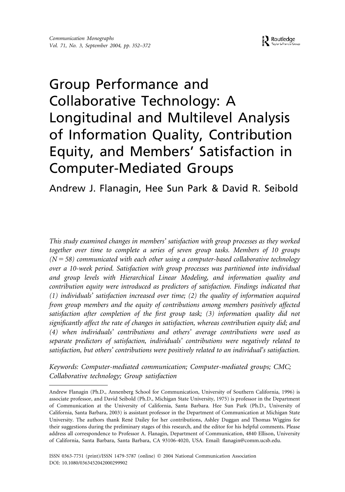# Group Performance and Collaborative Technology: A Longitudinal and Multilevel Analysis of Information Quality, Contribution Equity, and Members' Satisfaction in Computer-Mediated Groups

Andrew J. Flanagin, Hee Sun Park & David R. Seibold

*This study examined changes in members' satisfaction with group processes as they worked together over time to complete a series of seven group tasks. Members of 10 groups*  $(N = 58)$  communicated with each other using a computer-based collaborative technology *over a 10-week period. Satisfaction with group processes was partitioned into individual and group levels with Hierarchical Linear Modeling, and information quality and contribution equity were introduced as predictors of satisfaction. Findings indicated that (1) individuals' satisfaction increased over time; (2) the quality of information acquired from group members and the equity of contributions among members positively affected satisfaction after completion of the first group task; (3) information quality did not significantly affect the rate of changes in satisfaction, whereas contribution equity did; and (4) when individuals' contributions and others' average contributions were used as separate predictors of satisfaction, individuals' contributions were negatively related to satisfaction, but others' contributions were positively related to an individual's satisfaction.*

*Keywords: Computer-mediated communication; Computer-mediated groups; CMC; Collaborative technology; Group satisfaction*

Andrew Flanagin (Ph.D., Annenberg School for Communication, University of Southern California, 1996) is associate professor, and David Seibold (Ph.D., Michigan State University, 1975) is professor in the Department of Communication at the University of California, Santa Barbara. Hee Sun Park (Ph.D., University of California, Santa Barbara, 2003) is assistant professor in the Department of Communication at Michigan State University. The authors thank René Dailey for her contributions, Ashley Duggan and Thomas Wiggins for their suggestions during the preliminary stages of this research, and the editor for his helpful comments. Please address all correspondence to Professor A. Flanagin, Department of Communication, 4840 Ellison, University of California, Santa Barbara, Santa Barbara, CA 93106-4020, USA. Email: flanagin@comm.ucsb.edu.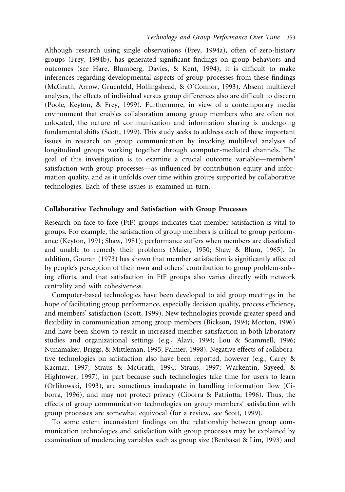Although research using single observations (Frey, 1994a), often of zero-history groups (Frey, 1994b), has generated significant findings on group behaviors and outcomes (see Hare, Blumberg, Davies, & Kent, 1994), it is difficult to make inferences regarding developmental aspects of group processes from these findings (McGrath, Arrow, Gruenfeld, Hollingshead, & O'Connor, 1993). Absent multilevel analyses, the effects of individual versus group differences also are difficult to discern (Poole, Keyton, & Frey, 1999). Furthermore, in view of a contemporary media environment that enables collaboration among group members who are often not colocated, the nature of communication and information sharing is undergoing fundamental shifts (Scott, 1999). This study seeks to address each of these important issues in research on group communication by invoking multilevel analyses of longitudinal groups working together through computer-mediated channels. The goal of this investigation is to examine a crucial outcome variable—members' satisfaction with group processes—as influenced by contribution equity and information quality, and as it unfolds over time within groups supported by collaborative technologies. Each of these issues is examined in turn.

#### **Collaborative Technology and Satisfaction with Group Processes**

Research on face-to-face (FtF) groups indicates that member satisfaction is vital to groups. For example, the satisfaction of group members is critical to group performance (Keyton, 1991; Shaw, 1981); performance suffers when members are dissatisfied and unable to remedy their problems (Maier, 1950; Shaw & Blum, 1965). In addition, Gouran (1973) has shown that member satisfaction is significantly affected by people's perception of their own and others' contribution to group problem-solving efforts, and that satisfaction in FtF groups also varies directly with network centrality and with cohesiveness.

Computer-based technologies have been developed to aid group meetings in the hope of facilitating group performance, especially decision quality, process efficiency, and members' satisfaction (Scott, 1999). New technologies provide greater speed and flexibility in communication among group members (Bickson, 1994; Morton, 1996) and have been shown to result in increased member satisfaction in both laboratory studies and organizational settings (e.g., Alavi, 1994; Lou & Scammell, 1996; Nunamaker, Briggs, & Mittleman, 1995; Palmer, 1998). Negative effects of collaborative technologies on satisfaction also have been reported, however (e.g., Carey & Kacmar, 1997; Straus & McGrath, 1994; Straus, 1997; Warkentin, Sayeed, & Hightower, 1997), in part because such technologies take time for users to learn (Orlikowski, 1993), are sometimes inadequate in handling information flow (Ciborra, 1996), and may not protect privacy (Ciborra & Patriotta, 1996). Thus, the effects of group communication technologies on group members' satisfaction with group processes are somewhat equivocal (for a review, see Scott, 1999).

To some extent inconsistent findings on the relationship between group communication technologies and satisfaction with group processes may be explained by examination of moderating variables such as group size (Benbasat & Lim, 1993) and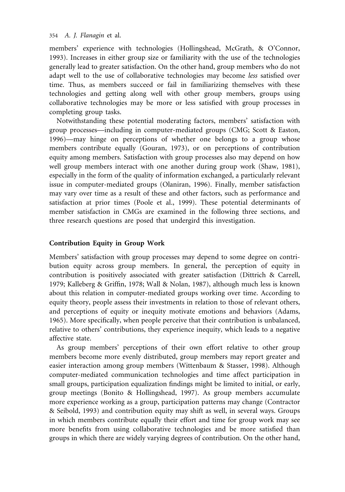members' experience with technologies (Hollingshead, McGrath, & O'Connor, 1993). Increases in either group size or familiarity with the use of the technologies generally lead to greater satisfaction. On the other hand, group members who do not adapt well to the use of collaborative technologies may become *less* satisfied over time. Thus, as members succeed or fail in familiarizing themselves with these technologies and getting along well with other group members, groups using collaborative technologies may be more or less satisfied with group processes in completing group tasks.

Notwithstanding these potential moderating factors, members' satisfaction with group processes—including in computer-mediated groups (CMG; Scott & Easton, 1996)—may hinge on perceptions of whether one belongs to a group whose members contribute equally (Gouran, 1973), or on perceptions of contribution equity among members. Satisfaction with group processes also may depend on how well group members interact with one another during group work (Shaw, 1981), especially in the form of the quality of information exchanged, a particularly relevant issue in computer-mediated groups (Olaniran, 1996). Finally, member satisfaction may vary over time as a result of these and other factors, such as performance and satisfaction at prior times (Poole et al., 1999). These potential determinants of member satisfaction in CMGs are examined in the following three sections, and three research questions are posed that undergird this investigation.

# **Contribution Equity in Group Work**

Members' satisfaction with group processes may depend to some degree on contribution equity across group members. In general, the perception of equity in contribution is positively associated with greater satisfaction (Dittrich & Carrell, 1979; Kalleberg & Griffin, 1978; Wall & Nolan, 1987), although much less is known about this relation in computer-mediated groups working over time. According to equity theory, people assess their investments in relation to those of relevant others, and perceptions of equity or inequity motivate emotions and behaviors (Adams, 1965). More specifically, when people perceive that their contribution is unbalanced, relative to others' contributions, they experience inequity, which leads to a negative affective state.

As group members' perceptions of their own effort relative to other group members become more evenly distributed, group members may report greater and easier interaction among group members (Wittenbaum & Stasser, 1998). Although computer-mediated communication technologies and time affect participation in small groups, participation equalization findings might be limited to initial, or early, group meetings (Bonito & Hollingshead, 1997). As group members accumulate more experience working as a group, participation patterns may change (Contractor & Seibold, 1993) and contribution equity may shift as well, in several ways. Groups in which members contribute equally their effort and time for group work may see more benefits from using collaborative technologies and be more satisfied than groups in which there are widely varying degrees of contribution. On the other hand,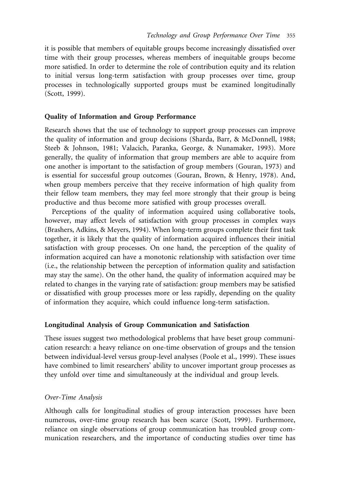it is possible that members of equitable groups become increasingly dissatisfied over time with their group processes, whereas members of inequitable groups become more satisfied. In order to determine the role of contribution equity and its relation to initial versus long-term satisfaction with group processes over time, group processes in technologically supported groups must be examined longitudinally (Scott, 1999).

#### **Quality of Information and Group Performance**

Research shows that the use of technology to support group processes can improve the quality of information and group decisions (Sharda, Barr, & McDonnell, 1988; Steeb & Johnson, 1981; Valacich, Paranka, George, & Nunamaker, 1993). More generally, the quality of information that group members are able to acquire from one another is important to the satisfaction of group members (Gouran, 1973) and is essential for successful group outcomes (Gouran, Brown, & Henry, 1978). And, when group members perceive that they receive information of high quality from their fellow team members, they may feel more strongly that their group is being productive and thus become more satisfied with group processes overall.

Perceptions of the quality of information acquired using collaborative tools, however, may affect levels of satisfaction with group processes in complex ways (Brashers, Adkins, & Meyers, 1994). When long-term groups complete their first task together, it is likely that the quality of information acquired influences their initial satisfaction with group processes. On one hand, the perception of the quality of information acquired can have a monotonic relationship with satisfaction over time (i.e., the relationship between the perception of information quality and satisfaction may stay the same). On the other hand, the quality of information acquired may be related to changes in the varying rate of satisfaction: group members may be satisfied or dissatisfied with group processes more or less rapidly, depending on the quality of information they acquire, which could influence long-term satisfaction.

#### **Longitudinal Analysis of Group Communication and Satisfaction**

These issues suggest two methodological problems that have beset group communication research: a heavy reliance on one-time observation of groups and the tension between individual-level versus group-level analyses (Poole et al., 1999). These issues have combined to limit researchers' ability to uncover important group processes as they unfold over time and simultaneously at the individual and group levels.

#### *Over-Time Analysis*

Although calls for longitudinal studies of group interaction processes have been numerous, over-time group research has been scarce (Scott, 1999). Furthermore, reliance on single observations of group communication has troubled group communication researchers, and the importance of conducting studies over time has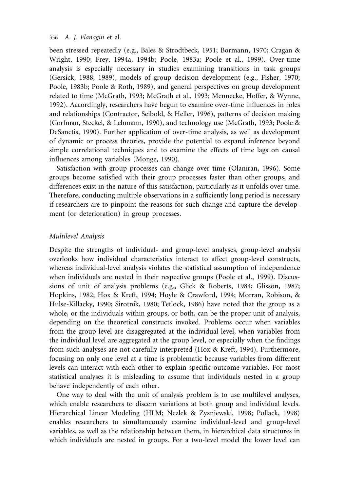been stressed repeatedly (e.g., Bales & Strodtbeck, 1951; Bormann, 1970; Cragan & Wright, 1990; Frey, 1994a, 1994b; Poole, 1983a; Poole et al., 1999). Over-time analysis is especially necessary in studies examining transitions in task groups (Gersick, 1988, 1989), models of group decision development (e.g., Fisher, 1970; Poole, 1983b; Poole & Roth, 1989), and general perspectives on group development related to time (McGrath, 1993; McGrath et al., 1993; Mennecke, Hoffer, & Wynne, 1992). Accordingly, researchers have begun to examine over-time influences in roles and relationships (Contractor, Seibold, & Heller, 1996), patterns of decision making (Corfman, Steckel, & Lehmann, 1990), and technology use (McGrath, 1993; Poole & DeSanctis, 1990). Further application of over-time analysis, as well as development of dynamic or process theories, provide the potential to expand inference beyond simple correlational techniques and to examine the effects of time lags on causal influences among variables (Monge, 1990).

Satisfaction with group processes can change over time (Olaniran, 1996). Some groups become satisfied with their group processes faster than other groups, and differences exist in the nature of this satisfaction, particularly as it unfolds over time. Therefore, conducting multiple observations in a sufficiently long period is necessary if researchers are to pinpoint the reasons for such change and capture the development (or deterioration) in group processes.

## *Multilevel Analysis*

Despite the strengths of individual- and group-level analyses, group-level analysis overlooks how individual characteristics interact to affect group-level constructs, whereas individual-level analysis violates the statistical assumption of independence when individuals are nested in their respective groups (Poole et al., 1999). Discussions of unit of analysis problems (e.g., Glick & Roberts, 1984; Glisson, 1987; Hopkins, 1982; Hox & Kreft, 1994; Hoyle & Crawford, 1994; Morran, Robison, & Hulse-Killacky, 1990; Sirotnik, 1980; Tetlock, 1986) have noted that the group as a whole, or the individuals within groups, or both, can be the proper unit of analysis, depending on the theoretical constructs invoked. Problems occur when variables from the group level are disaggregated at the individual level, when variables from the individual level are aggregated at the group level, or especially when the findings from such analyses are not carefully interpreted (Hox & Kreft, 1994). Furthermore, focusing on only one level at a time is problematic because variables from different levels can interact with each other to explain specific outcome variables. For most statistical analyses it is misleading to assume that individuals nested in a group behave independently of each other.

One way to deal with the unit of analysis problem is to use multilevel analyses, which enable researchers to discern variations at both group and individual levels. Hierarchical Linear Modeling (HLM; Nezlek & Zyzniewski, 1998; Pollack, 1998) enables researchers to simultaneously examine individual-level and group-level variables, as well as the relationship between them, in hierarchical data structures in which individuals are nested in groups. For a two-level model the lower level can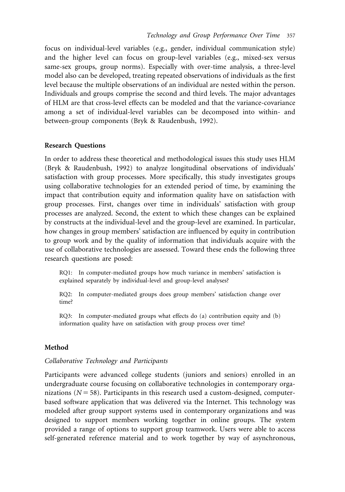focus on individual-level variables (e.g., gender, individual communication style) and the higher level can focus on group-level variables (e.g., mixed-sex versus same-sex groups, group norms). Especially with over-time analysis, a three-level model also can be developed, treating repeated observations of individuals as the first level because the multiple observations of an individual are nested within the person. Individuals and groups comprise the second and third levels. The major advantages of HLM are that cross-level effects can be modeled and that the variance-covariance among a set of individual-level variables can be decomposed into within- and between-group components (Bryk & Raudenbush, 1992).

#### **Research Questions**

In order to address these theoretical and methodological issues this study uses HLM (Bryk & Raudenbush, 1992) to analyze longitudinal observations of individuals' satisfaction with group processes. More specifically, this study investigates groups using collaborative technologies for an extended period of time, by examining the impact that contribution equity and information quality have on satisfaction with group processes. First, changes over time in individuals' satisfaction with group processes are analyzed. Second, the extent to which these changes can be explained by constructs at the individual-level and the group-level are examined. In particular, how changes in group members' satisfaction are influenced by equity in contribution to group work and by the quality of information that individuals acquire with the use of collaborative technologies are assessed. Toward these ends the following three research questions are posed:

RQ1: In computer-mediated groups how much variance in members' satisfaction is explained separately by individual-level and group-level analyses?

RQ2: In computer-mediated groups does group members' satisfaction change over time?

RQ3: In computer-mediated groups what effects do (a) contribution equity and (b) information quality have on satisfaction with group process over time?

#### **Method**

#### *Collaborative Technology and Participants*

Participants were advanced college students (juniors and seniors) enrolled in an undergraduate course focusing on collaborative technologies in contemporary organizations  $(N = 58)$ . Participants in this research used a custom-designed, computerbased software application that was delivered via the Internet. This technology was modeled after group support systems used in contemporary organizations and was designed to support members working together in online groups. The system provided a range of options to support group teamwork. Users were able to access self-generated reference material and to work together by way of asynchronous,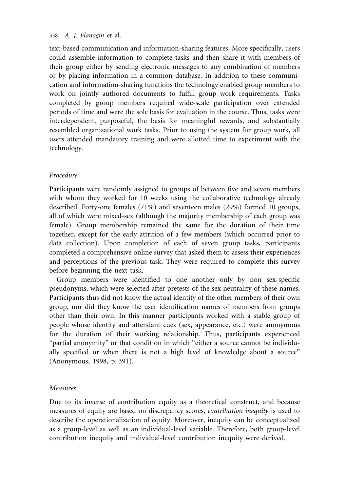text-based communication and information-sharing features. More specifically, users could assemble information to complete tasks and then share it with members of their group either by sending electronic messages to any combination of members or by placing information in a common database. In addition to these communication and information-sharing functions the technology enabled group members to work on jointly authored documents to fulfill group work requirements. Tasks completed by group members required wide-scale participation over extended periods of time and were the sole basis for evaluation in the course. Thus, tasks were interdependent, purposeful, the basis for meaningful rewards, and substantially resembled organizational work tasks. Prior to using the system for group work, all users attended mandatory training and were allotted time to experiment with the technology.

# *Procedure*

Participants were randomly assigned to groups of between five and seven members with whom they worked for 10 weeks using the collaborative technology already described. Forty-one females (71%) and seventeen males (29%) formed 10 groups, all of which were mixed-sex (although the majority membership of each group was female). Group membership remained the same for the duration of their time together, except for the early attrition of a few members (which occurred prior to data collection). Upon completion of each of seven group tasks, participants completed a comprehensive online survey that asked them to assess their experiences and perceptions of the previous task. They were required to complete this survey before beginning the next task.

Group members were identified to one another only by non sex-specific pseudonyms, which were selected after pretests of the sex neutrality of these names. Participants thus did not know the actual identity of the other members of their own group, nor did they know the user identification names of members from groups other than their own. In this manner participants worked with a stable group of people whose identity and attendant cues (sex, appearance, etc.) were anonymous for the duration of their working relationship. Thus, participants experienced "partial anonymity" or that condition in which "either a source cannot be individually specified or when there is not a high level of knowledge about a source" (Anonymous, 1998, p. 391).

#### *Measures*

Due to its inverse of contribution equity as a theoretical construct, and because measures of equity are based on discrepancy scores, *contribution inequity* is used to describe the operationalization of equity. Moreover, inequity can be conceptualized as a group-level as well as an individual-level variable. Therefore, both group-level contribution inequity and individual-level contribution inequity were derived.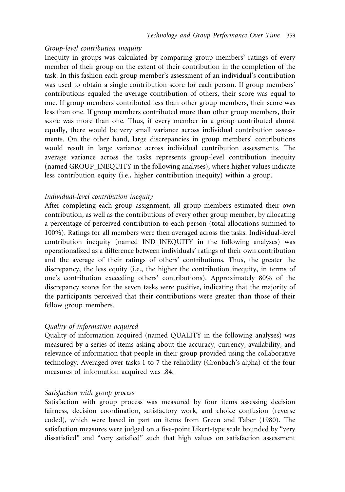#### *Group-level contribution inequity*

Inequity in groups was calculated by comparing group members' ratings of every member of their group on the extent of their contribution in the completion of the task. In this fashion each group member's assessment of an individual's contribution was used to obtain a single contribution score for each person. If group members' contributions equaled the average contribution of others, their score was equal to one. If group members contributed less than other group members, their score was less than one. If group members contributed more than other group members, their score was more than one. Thus, if every member in a group contributed almost equally, there would be very small variance across individual contribution assessments. On the other hand, large discrepancies in group members' contributions would result in large variance across individual contribution assessments. The average variance across the tasks represents group-level contribution inequity (named GROUP INEQUITY in the following analyses), where higher values indicate less contribution equity (i.e., higher contribution inequity) within a group.

# *Individual-level contribution inequity*

After completing each group assignment, all group members estimated their own contribution, as well as the contributions of every other group member, by allocating a percentage of perceived contribution to each person (total allocations summed to 100%). Ratings for all members were then averaged across the tasks. Individual-level contribution inequity (named IND INEQUITY in the following analyses) was operationalized as a difference between individuals' ratings of their own contribution and the average of their ratings of others' contributions. Thus, the greater the discrepancy, the less equity (i.e., the higher the contribution inequity, in terms of one's contribution exceeding others' contributions). Approximately 80% of the discrepancy scores for the seven tasks were positive, indicating that the majority of the participants perceived that their contributions were greater than those of their fellow group members.

#### *Quality of information acquired*

Quality of information acquired (named QUALITY in the following analyses) was measured by a series of items asking about the accuracy, currency, availability, and relevance of information that people in their group provided using the collaborative technology. Averaged over tasks 1 to 7 the reliability (Cronbach's alpha) of the four measures of information acquired was .84.

#### *Satisfaction with group process*

Satisfaction with group process was measured by four items assessing decision fairness, decision coordination, satisfactory work, and choice confusion (reverse coded), which were based in part on items from Green and Taber (1980). The satisfaction measures were judged on a five-point Likert-type scale bounded by "very dissatisfied" and "very satisfied" such that high values on satisfaction assessment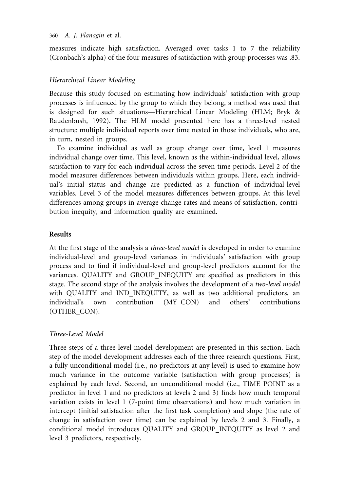measures indicate high satisfaction. Averaged over tasks 1 to 7 the reliability (Cronbach's alpha) of the four measures of satisfaction with group processes was .83.

# *Hierarchical Linear Modeling*

Because this study focused on estimating how individuals' satisfaction with group processes is influenced by the group to which they belong, a method was used that is designed for such situations—Hierarchical Linear Modeling (HLM; Bryk & Raudenbush, 1992). The HLM model presented here has a three-level nested structure: multiple individual reports over time nested in those individuals, who are, in turn, nested in groups.

To examine individual as well as group change over time, level 1 measures individual change over time. This level, known as the within-individual level, allows satisfaction to vary for each individual across the seven time periods. Level 2 of the model measures differences between individuals within groups. Here, each individual's initial status and change are predicted as a function of individual-level variables. Level 3 of the model measures differences between groups. At this level differences among groups in average change rates and means of satisfaction, contribution inequity, and information quality are examined.

# **Results**

At the first stage of the analysis a *three-level model* is developed in order to examine individual-level and group-level variances in individuals' satisfaction with group process and to find if individual-level and group-level predictors account for the variances. QUALITY and GROUP INEQUITY are specified as predictors in this stage. The second stage of the analysis involves the development of a *two-level model* with QUALITY and IND INEQUITY, as well as two additional predictors, an individual's own contribution (MY CON) and others' contributions (OTHER CON).

# *Three-Level Model*

Three steps of a three-level model development are presented in this section. Each step of the model development addresses each of the three research questions. First, a fully unconditional model (i.e., no predictors at any level) is used to examine how much variance in the outcome variable (satisfaction with group processes) is explained by each level. Second, an unconditional model (i.e., TIME POINT as a predictor in level 1 and no predictors at levels 2 and 3) finds how much temporal variation exists in level 1 (7-point time observations) and how much variation in intercept (initial satisfaction after the first task completion) and slope (the rate of change in satisfaction over time) can be explained by levels 2 and 3. Finally, a conditional model introduces QUALITY and GROUP INEQUITY as level 2 and level 3 predictors, respectively.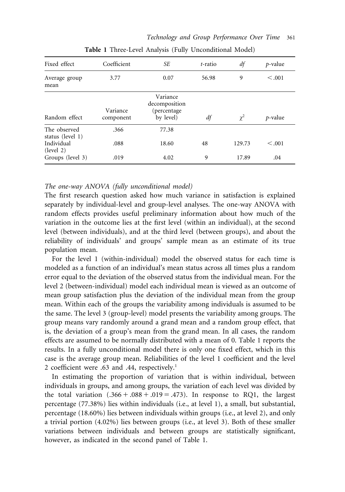| Fixed effect                     | Coefficient           | SЕ                                                    | t-ratio | df       | $p$ -value |
|----------------------------------|-----------------------|-------------------------------------------------------|---------|----------|------------|
| Average group<br>mean            | 3.77                  | 56.98<br>0.07                                         |         | 9        | < 0.001    |
| Random effect                    | Variance<br>component | Variance<br>decomposition<br>(percentage<br>by level) | df      | $\chi^2$ | $p$ -value |
| The observed<br>status (level 1) | .366                  | 77.38                                                 |         |          |            |
| Individual<br>(level 2)          | .088                  | 18.60                                                 | 48      | 129.73   | < 0.001    |
| Groups (level 3)                 | .019                  | 4.02                                                  | 9       | 17.89    | .04        |

**Table 1** Three-Level Analysis (Fully Unconditional Model)

*The one-way ANOVA (fully unconditional model)*

The first research question asked how much variance in satisfaction is explained separately by individual-level and group-level analyses. The one-way ANOVA with random effects provides useful preliminary information about how much of the variation in the outcome lies at the first level (within an individual), at the second level (between individuals), and at the third level (between groups), and about the reliability of individuals' and groups' sample mean as an estimate of its true population mean.

For the level 1 (within-individual) model the observed status for each time is modeled as a function of an individual's mean status across all times plus a random error equal to the deviation of the observed status from the individual mean. For the level 2 (between-individual) model each individual mean is viewed as an outcome of mean group satisfaction plus the deviation of the individual mean from the group mean. Within each of the groups the variability among individuals is assumed to be the same. The level 3 (group-level) model presents the variability among groups. The group means vary randomly around a grand mean and a random group effect, that is, the deviation of a group's mean from the grand mean. In all cases, the random effects are assumed to be normally distributed with a mean of 0. Table 1 reports the results. In a fully unconditional model there is only one fixed effect, which in this case is the average group mean. Reliabilities of the level 1 coefficient and the level 2 coefficient were .63 and .44, respectively.1

In estimating the proportion of variation that is within individual, between individuals in groups, and among groups, the variation of each level was divided by the total variation  $(.366 + .088 + .019 = .473)$ . In response to RQ1, the largest percentage (77.38%) lies within individuals (i.e., at level 1), a small, but substantial, percentage (18.60%) lies between individuals within groups (i.e., at level 2), and only a trivial portion (4.02%) lies between groups (i.e., at level 3). Both of these smaller variations between individuals and between groups are statistically significant, however, as indicated in the second panel of Table 1.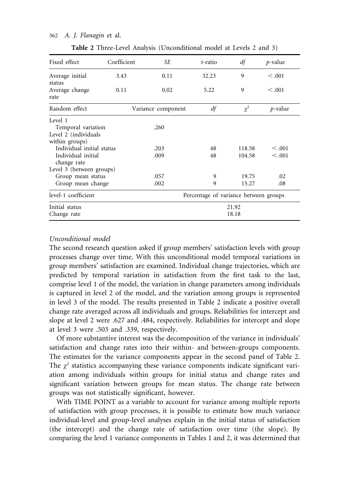| Fixed effect                                                            | Coefficient | SE                                    | t-ratio        | df               | p-value            |  |
|-------------------------------------------------------------------------|-------------|---------------------------------------|----------------|------------------|--------------------|--|
| Average initial                                                         | 3.43        | 0.11                                  | 32.23          | 9                | < 0.001            |  |
| status<br>Average change<br>rate                                        | 0.11        | 0.02                                  | 5.22           | 9                | < 0.001            |  |
| Random effect                                                           |             | Variance component                    | df             | $\chi^2$         | $p$ -value         |  |
| Level 1<br>Temporal variation<br>Level 2 (individuals<br>within groups) |             | .260                                  |                |                  |                    |  |
| Individual initial status<br>Individual initial<br>change rate          |             | .203<br>.009                          | 48<br>48       | 118.58<br>104.58 | < 0.001<br>< 0.001 |  |
| Level 3 (between groups)                                                |             |                                       |                |                  |                    |  |
| Group mean status<br>Group mean change                                  |             | .057<br>.002                          | 9<br>9         | 19.75<br>15.27   | .02<br>.08         |  |
| level-1 coefficient                                                     |             | Percentage of variance between groups |                |                  |                    |  |
| Initial status<br>Change rate                                           |             |                                       | 21.92<br>18.18 |                  |                    |  |

**Table 2** Three-Level Analysis (Unconditional model at Levels 2 and 3)

# *Unconditional model*

The second research question asked if group members' satisfaction levels with group processes change over time. With this unconditional model temporal variations in group members' satisfaction are examined. Individual change trajectories, which are predicted by temporal variation in satisfaction from the first task to the last, comprise level 1 of the model, the variation in change parameters among individuals is captured in level 2 of the model, and the variation among groups is represented in level 3 of the model. The results presented in Table 2 indicate a positive overall change rate averaged across all individuals and groups. Reliabilities for intercept and slope at level 2 were .627 and .484, respectively. Reliabilities for intercept and slope at level 3 were .503 and .339, respectively.

Of more substantive interest was the decomposition of the variance in individuals' satisfaction and change rates into their within- and between-groups components. The estimates for the variance components appear in the second panel of Table 2. The  $\chi^2$  statistics accompanying these variance components indicate significant variation among individuals within groups for initial status and change rates and significant variation between groups for mean status. The change rate between groups was not statistically significant, however.

With TIME POINT as a variable to account for variance among multiple reports of satisfaction with group processes, it is possible to estimate how much variance individual-level and group-level analyses explain in the initial status of satisfaction (the intercept) and the change rate of satisfaction over time (the slope). By comparing the level 1 variance components in Tables 1 and 2, it was determined that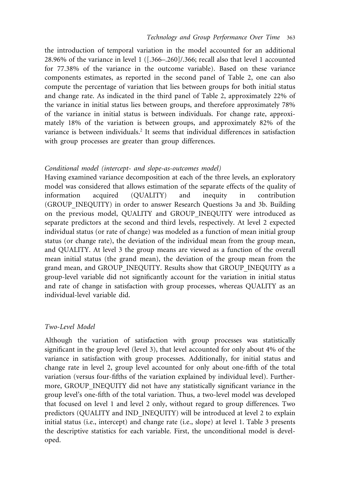the introduction of temporal variation in the model accounted for an additional 28.96% of the variance in level 1 ([.366–.260]/.366; recall also that level 1 accounted for 77.38% of the variance in the outcome variable). Based on these variance components estimates, as reported in the second panel of Table 2, one can also compute the percentage of variation that lies between groups for both initial status and change rate. As indicated in the third panel of Table 2, approximately 22% of the variance in initial status lies between groups, and therefore approximately 78% of the variance in initial status is between individuals. For change rate, approximately 18% of the variation is between groups, and approximately 82% of the variance is between individuals.<sup>2</sup> It seems that individual differences in satisfaction with group processes are greater than group differences.

#### *Conditional model (intercept- and slope-as-outcomes model)*

Having examined variance decomposition at each of the three levels, an exploratory model was considered that allows estimation of the separate effects of the quality of information acquired (QUALITY) and inequity in contribution (GROUP INEQUITY) in order to answer Research Questions 3a and 3b. Building on the previous model, QUALITY and GROUP INEQUITY were introduced as separate predictors at the second and third levels, respectively. At level 2 expected individual status (or rate of change) was modeled as a function of mean initial group status (or change rate), the deviation of the individual mean from the group mean, and QUALITY. At level 3 the group means are viewed as a function of the overall mean initial status (the grand mean), the deviation of the group mean from the grand mean, and GROUP INEQUITY. Results show that GROUP INEQUITY as a group-level variable did not significantly account for the variation in initial status and rate of change in satisfaction with group processes, whereas QUALITY as an individual-level variable did.

#### *Two-Level Model*

Although the variation of satisfaction with group processes was statistically significant in the group level (level 3), that level accounted for only about 4% of the variance in satisfaction with group processes. Additionally, for initial status and change rate in level 2, group level accounted for only about one-fifth of the total variation (versus four-fifths of the variation explained by individual level). Furthermore, GROUP INEQUITY did not have any statistically significant variance in the group level's one-fifth of the total variation. Thus, a two-level model was developed that focused on level 1 and level 2 only, without regard to group differences. Two predictors (QUALITY and IND\_INEQUITY) will be introduced at level 2 to explain initial status (i.e., intercept) and change rate (i.e., slope) at level 1. Table 3 presents the descriptive statistics for each variable. First, the unconditional model is developed.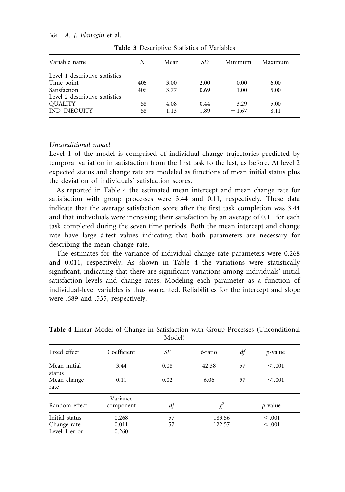| Variable name                  | N   | Mean | SD   | Minimum | Maximum |  |
|--------------------------------|-----|------|------|---------|---------|--|
| Level 1 descriptive statistics |     |      |      |         |         |  |
| Time point                     | 406 | 3.00 | 2.00 | 0.00    | 6.00    |  |
| Satisfaction                   | 406 | 3.77 | 0.69 | 1.00    | 5.00    |  |
| Level 2 descriptive statistics |     |      |      |         |         |  |
| <b>OUALITY</b>                 | 58  | 4.08 | 0.44 | 3.29    | 5.00    |  |
| IND INEQUITY                   | 58  | 1.13 | 1.89 | $-1.67$ | 8.11    |  |

**Table 3** Descriptive Statistics of Variables

#### *Unconditional model*

Level 1 of the model is comprised of individual change trajectories predicted by temporal variation in satisfaction from the first task to the last, as before. At level 2 expected status and change rate are modeled as functions of mean initial status plus the deviation of individuals' satisfaction scores.

As reported in Table 4 the estimated mean intercept and mean change rate for satisfaction with group processes were 3.44 and 0.11, respectively. These data indicate that the average satisfaction score after the first task completion was 3.44 and that individuals were increasing their satisfaction by an average of 0.11 for each task completed during the seven time periods. Both the mean intercept and change rate have large *t*-test values indicating that both parameters are necessary for describing the mean change rate.

The estimates for the variance of individual change rate parameters were 0.268 and 0.011, respectively. As shown in Table 4 the variations were statistically significant, indicating that there are significant variations among individuals' initial satisfaction levels and change rates. Modeling each parameter as a function of individual-level variables is thus warranted. Reliabilities for the intercept and slope were .689 and .535, respectively.

| Fixed effect                                   | Coefficient             | SЕ       | t-ratio          | df | $p$ -value         |  |
|------------------------------------------------|-------------------------|----------|------------------|----|--------------------|--|
| Mean initial<br>status                         | 3.44                    | 0.08     | 42.38            | 57 | < 0.001            |  |
| Mean change<br>rate                            | 0.11                    | 0.02     | 6.06             | 57 | < 0.001            |  |
| Random effect                                  | Variance<br>component   | df       | $\chi^2$         |    | $p$ -value         |  |
| Initial status<br>Change rate<br>Level 1 error | 0.268<br>0.011<br>0.260 | 57<br>57 | 183.56<br>122.57 |    | < 0.001<br>< 0.001 |  |

**Table 4** Linear Model of Change in Satisfaction with Group Processes (Unconditional Model)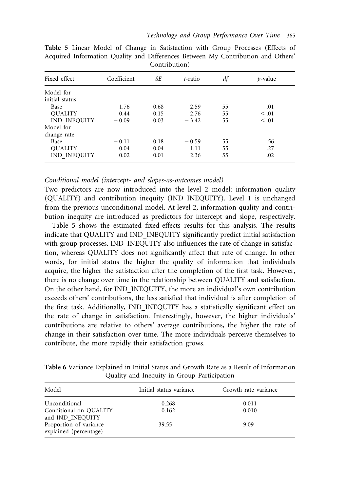| Fixed effect        | Coefficient | SЕ   | t-ratio | df | $p$ -value |
|---------------------|-------------|------|---------|----|------------|
| Model for           |             |      |         |    |            |
| initial status      |             |      |         |    |            |
| Base                | 1.76        | 0.68 | 2.59    | 55 | .01        |
| <b>OUALITY</b>      | 0.44        | 0.15 | 2.76    | 55 | $\leq .01$ |
| <b>IND INEQUITY</b> | $-0.09$     | 0.03 | $-3.42$ | 55 | $\leq .01$ |
| Model for           |             |      |         |    |            |
| change rate         |             |      |         |    |            |
| Base                | $-0.11$     | 0.18 | $-0.59$ | 55 | .56        |
| <b>QUALITY</b>      | 0.04        | 0.04 | 1.11    | 55 | .27        |
| <b>IND INEQUITY</b> | 0.02        | 0.01 | 2.36    | 55 | .02        |

**Table 5** Linear Model of Change in Satisfaction with Group Processes (Effects of Acquired Information Quality and Differences Between My Contribution and Others' Contribution)

*Conditional model (intercept- and slopes-as-outcomes model)*

Two predictors are now introduced into the level 2 model: information quality (QUALITY) and contribution inequity (IND INEQUITY). Level 1 is unchanged from the previous unconditional model. At level 2, information quality and contribution inequity are introduced as predictors for intercept and slope, respectively.

Table 5 shows the estimated fixed-effects results for this analysis. The results indicate that QUALITY and IND INEQUITY significantly predict initial satisfaction with group processes. IND INEQUITY also influences the rate of change in satisfaction, whereas QUALITY does not significantly affect that rate of change. In other words, for initial status the higher the quality of information that individuals acquire, the higher the satisfaction after the completion of the first task. However, there is no change over time in the relationship between QUALITY and satisfaction. On the other hand, for IND INEQUITY, the more an individual's own contribution exceeds others' contributions, the less satisfied that individual is after completion of the first task. Additionally, IND INEQUITY has a statistically significant effect on the rate of change in satisfaction. Interestingly, however, the higher individuals' contributions are relative to others' average contributions, the higher the rate of change in their satisfaction over time. The more individuals perceive themselves to contribute, the more rapidly their satisfaction grows.

**Table 6** Variance Explained in Initial Status and Growth Rate as a Result of Information Quality and Inequity in Group Participation

| Model                                                       | Initial status variance | Growth rate variance |
|-------------------------------------------------------------|-------------------------|----------------------|
| Unconditional<br>Conditional on QUALITY<br>and IND INEQUITY | 0.268<br>0.162          | 0.011<br>0.010       |
| Proportion of variance<br>explained (percentage)            | 39.55                   | 9.09                 |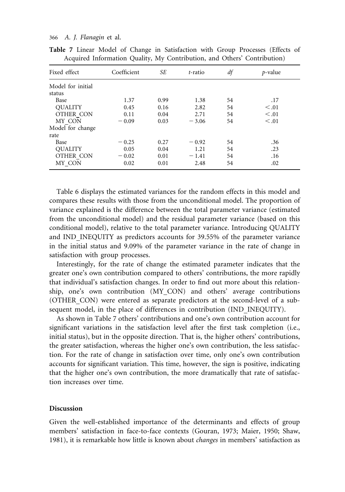| Fixed effect                | Coefficient | SЕ   | t-ratio | df | <i>p</i> -value |
|-----------------------------|-------------|------|---------|----|-----------------|
| Model for initial<br>status |             |      |         |    |                 |
| Base                        | 1.37        | 0.99 | 1.38    | 54 | .17             |
| <b>OUALITY</b>              | 0.45        | 0.16 | 2.82    | 54 | $\leq .01$      |
| OTHER CON                   | 0.11        | 0.04 | 2.71    | 54 | < 0.01          |
| MY CON                      | $-0.09$     | 0.03 | $-3.06$ | 54 | < 0.01          |
| Model for change            |             |      |         |    |                 |
| rate                        |             |      |         |    |                 |
| Base                        | $-0.25$     | 0.27 | $-0.92$ | 54 | .36             |
| <b>OUALITY</b>              | 0.05        | 0.04 | 1.21    | 54 | .23             |
| OTHER CON                   | $-0.02$     | 0.01 | $-1.41$ | 54 | .16             |
| MY CON                      | 0.02        | 0.01 | 2.48    | 54 | .02             |

**Table 7** Linear Model of Change in Satisfaction with Group Processes (Effects of Acquired Information Quality, My Contribution, and Others' Contribution)

Table 6 displays the estimated variances for the random effects in this model and compares these results with those from the unconditional model. The proportion of variance explained is the difference between the total parameter variance (estimated from the unconditional model) and the residual parameter variance (based on this conditional model), relative to the total parameter variance. Introducing QUALITY and IND INEQUITY as predictors accounts for 39.55% of the parameter variance in the initial status and 9.09% of the parameter variance in the rate of change in satisfaction with group processes.

Interestingly, for the rate of change the estimated parameter indicates that the greater one's own contribution compared to others' contributions, the more rapidly that individual's satisfaction changes. In order to find out more about this relationship, one's own contribution (MY CON) and others' average contributions (OTHER CON) were entered as separate predictors at the second-level of a subsequent model, in the place of differences in contribution (IND INEQUITY).

As shown in Table 7 others' contributions and one's own contribution account for significant variations in the satisfaction level after the first task completion (i.e., initial status), but in the opposite direction. That is, the higher others' contributions, the greater satisfaction, whereas the higher one's own contribution, the less satisfaction. For the rate of change in satisfaction over time, only one's own contribution accounts for significant variation. This time, however, the sign is positive, indicating that the higher one's own contribution, the more dramatically that rate of satisfaction increases over time.

#### **Discussion**

Given the well-established importance of the determinants and effects of group members' satisfaction in face-to-face contexts (Gouran, 1973; Maier, 1950; Shaw, 1981), it is remarkable how little is known about *changes* in members' satisfaction as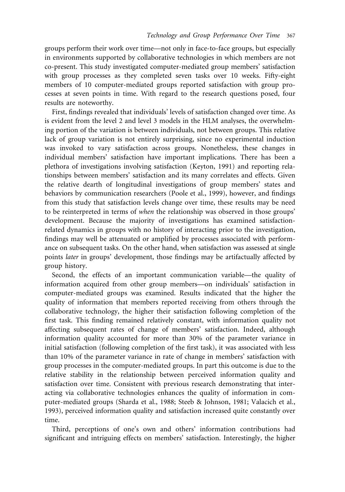groups perform their work over time—not only in face-to-face groups, but especially in environments supported by collaborative technologies in which members are not co-present. This study investigated computer-mediated group members' satisfaction with group processes as they completed seven tasks over 10 weeks. Fifty-eight members of 10 computer-mediated groups reported satisfaction with group processes at seven points in time. With regard to the research questions posed, four results are noteworthy.

First, findings revealed that individuals' levels of satisfaction changed over time. As is evident from the level 2 and level 3 models in the HLM analyses, the overwhelming portion of the variation is between individuals, not between groups. This relative lack of group variation is not entirely surprising, since no experimental induction was invoked to vary satisfaction across groups. Nonetheless, these changes in individual members' satisfaction have important implications. There has been a plethora of investigations involving satisfaction (Keyton, 1991) and reporting relationships between members' satisfaction and its many correlates and effects. Given the relative dearth of longitudinal investigations of group members' states and behaviors by communication researchers (Poole et al., 1999), however, and findings from this study that satisfaction levels change over time, these results may be need to be reinterpreted in terms of *when* the relationship was observed in those groups' development. Because the majority of investigations has examined satisfactionrelated dynamics in groups with no history of interacting prior to the investigation, findings may well be attenuated or amplified by processes associated with performance on subsequent tasks. On the other hand, when satisfaction was assessed at single points *later* in groups' development, those findings may be artifactually affected by group history.

Second, the effects of an important communication variable—the quality of information acquired from other group members—on individuals' satisfaction in computer-mediated groups was examined. Results indicated that the higher the quality of information that members reported receiving from others through the collaborative technology, the higher their satisfaction following completion of the first task. This finding remained relatively constant, with information quality not affecting subsequent rates of change of members' satisfaction. Indeed, although information quality accounted for more than 30% of the parameter variance in initial satisfaction (following completion of the first task), it was associated with less than 10% of the parameter variance in rate of change in members' satisfaction with group processes in the computer-mediated groups. In part this outcome is due to the relative stability in the relationship between perceived information quality and satisfaction over time. Consistent with previous research demonstrating that interacting via collaborative technologies enhances the quality of information in computer-mediated groups (Sharda et al., 1988; Steeb & Johnson, 1981; Valacich et al., 1993), perceived information quality and satisfaction increased quite constantly over time.

Third, perceptions of one's own and others' information contributions had significant and intriguing effects on members' satisfaction. Interestingly, the higher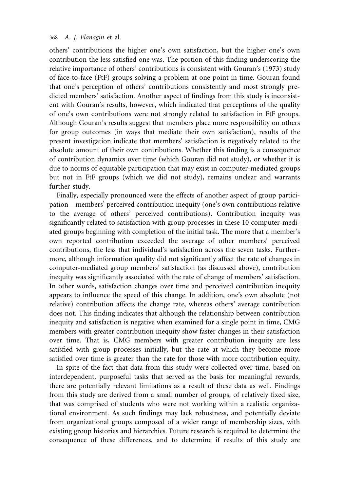others' contributions the higher one's own satisfaction, but the higher one's own contribution the less satisfied one was. The portion of this finding underscoring the relative importance of others' contributions is consistent with Gouran's (1973) study of face-to-face (FtF) groups solving a problem at one point in time. Gouran found that one's perception of others' contributions consistently and most strongly predicted members' satisfaction. Another aspect of findings from this study is inconsistent with Gouran's results, however, which indicated that perceptions of the quality of one's own contributions were not strongly related to satisfaction in FtF groups. Although Gouran's results suggest that members place more responsibility on others for group outcomes (in ways that mediate their own satisfaction), results of the present investigation indicate that members' satisfaction is negatively related to the absolute amount of their own contributions. Whether this finding is a consequence of contribution dynamics over time (which Gouran did not study), or whether it is due to norms of equitable participation that may exist in computer-mediated groups but not in FtF groups (which we did not study), remains unclear and warrants further study.

Finally, especially pronounced were the effects of another aspect of group participation—members' perceived contribution inequity (one's own contributions relative to the average of others' perceived contributions). Contribution inequity was significantly related to satisfaction with group processes in these 10 computer-mediated groups beginning with completion of the initial task. The more that a member's own reported contribution exceeded the average of other members' perceived contributions, the less that individual's satisfaction across the seven tasks. Furthermore, although information quality did not significantly affect the rate of changes in computer-mediated group members' satisfaction (as discussed above), contribution inequity was significantly associated with the rate of change of members' satisfaction. In other words, satisfaction changes over time and perceived contribution inequity appears to influence the speed of this change. In addition, one's own absolute (not relative) contribution affects the change rate, whereas others' average contribution does not. This finding indicates that although the relationship between contribution inequity and satisfaction is negative when examined for a single point in time, CMG members with greater contribution inequity show faster changes in their satisfaction over time. That is, CMG members with greater contribution inequity are less satisfied with group processes initially, but the rate at which they become more satisfied over time is greater than the rate for those with more contribution equity.

In spite of the fact that data from this study were collected over time, based on interdependent, purposeful tasks that served as the basis for meaningful rewards, there are potentially relevant limitations as a result of these data as well. Findings from this study are derived from a small number of groups, of relatively fixed size, that was comprised of students who were not working within a realistic organizational environment. As such findings may lack robustness, and potentially deviate from organizational groups composed of a wider range of membership sizes, with existing group histories and hierarchies. Future research is required to determine the consequence of these differences, and to determine if results of this study are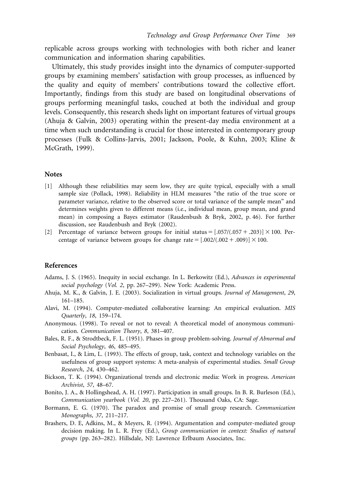replicable across groups working with technologies with both richer and leaner communication and information sharing capabilities.

Ultimately, this study provides insight into the dynamics of computer-supported groups by examining members' satisfaction with group processes, as influenced by the quality and equity of members' contributions toward the collective effort. Importantly, findings from this study are based on longitudinal observations of groups performing meaningful tasks, couched at both the individual and group levels. Consequently, this research sheds light on important features of virtual groups (Ahuja & Galvin, 2003) operating within the present-day media environment at a time when such understanding is crucial for those interested in contemporary group processes (Fulk & Collins-Jarvis, 2001; Jackson, Poole, & Kuhn, 2003; Kline & McGrath, 1999).

#### **Notes**

- [1] Although these reliabilities may seem low, they are quite typical, especially with a small sample size (Pollack, 1998). Reliability in HLM measures "the ratio of the true score or parameter variance, relative to the observed score or total variance of the sample mean" and determines weights given to different means (i.e., individual mean, group mean, and grand mean) in composing a Bayes estimator (Raudenbush & Bryk, 2002, p. 46). For further discussion, see Raudenbush and Bryk (2002).
- [2] Percentage of variance between groups for initial status  $=[.057/(.057+.203)] \times 100$ . Percentage of variance between groups for change rate  $=[.002/(.002 + .009)] \times 100$ .

#### **References**

- Adams, J. S. (1965). Inequity in social exchange. In L. Berkowitz (Ed.), *Advances in experimental social psychology* (*Vol. 2*, pp. 267–299). New York: Academic Press.
- Ahuja, M. K., & Galvin, J. E. (2003). Socialization in virtual groups. *Journal of Management*, *29*, 161–185.
- Alavi, M. (1994). Computer-mediated collaborative learning: An empirical evaluation. *MIS Quarterly*, *18*, 159–174.
- Anonymous. (1998). To reveal or not to reveal: A theoretical model of anonymous communication. *Communication Theory*, *8*, 381–407.
- Bales, R. F., & Strodtbeck, F. L. (1951). Phases in group problem-solving. *Journal of Abnormal and Social Psychology*, *46*, 485–495.
- Benbasat, I., & Lim, L. (1993). The effects of group, task, context and technology variables on the usefulness of group support systems: A meta-analysis of experimental studies. *Small Group Research*, *24*, 430–462.
- Bickson, T. K. (1994). Organizational trends and electronic media: Work in progress. *American Archivist*, *57*, 48–67.
- Bonito, J. A., & Hollingshead, A. H. (1997). Participation in small groups. In B. R. Burleson (Ed.), *Communication yearbook* (*Vol. 20*, pp. 227–261). Thousand Oaks, CA: Sage.
- Bormann, E. G. (1970). The paradox and promise of small group research. *Communication Monographs*, *37*, 211–217.
- Brashers, D. E, Adkins, M., & Meyers, R. (1994). Argumentation and computer-mediated group decision making. In L. R. Frey (Ed.), *Group communication in context: Studies of natural groups* (pp. 263–282). Hillsdale, NJ: Lawrence Erlbaum Associates, Inc.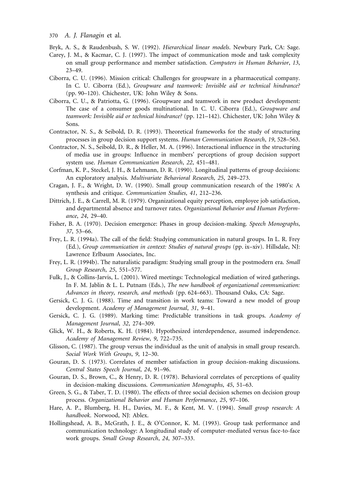Bryk, A. S., & Raudenbush, S. W. (1992). *Hierarchical linear models*. Newbury Park, CA: Sage.

- Carey, J. M., & Kacmar, C. J. (1997). The impact of communication mode and task complexity on small group performance and member satisfaction. *Computers in Human Behavior*, *13*, 23–49.
- Ciborra, C. U. (1996). Mission critical: Challenges for groupware in a pharmaceutical company. In C. U. Ciborra (Ed.), *Groupware and teamwork: Invisible aid or technical hindrance?* (pp. 90–120). Chichester, UK: John Wiley & Sons.
- Ciborra, C. U., & Patriotta, G. (1996). Groupware and teamwork in new product development: The case of a consumer goods multinational. In C. U. Ciborra (Ed.), *Groupware and teamwork: Invisible aid or technical hindrance?* (pp. 121–142). Chichester, UK: John Wiley & Sons.
- Contractor, N. S., & Seibold, D. R. (1993). Theoretical frameworks for the study of structuring processes in group decision support systems. *Human Communication Research*, *19*, 528–563.
- Contractor, N. S., Seibold, D. R., & Heller, M. A. (1996). Interactional influence in the structuring of media use in groups: Influence in members' perceptions of group decision support system use. *Human Communication Research*, *22*, 451–481.
- Corfman, K. P., Steckel, J. H., & Lehmann, D. R. (1990). Longitudinal patterns of group decisions: An exploratory analysis. *Multivariate Behavioral Research*, *25*, 249–273.
- Cragan, J. F., & Wright, D. W. (1990). Small group communication research of the 1980's: A synthesis and critique. *Communication Studies*, *41*, 212–236.
- Dittrich, J. E., & Carrell, M. R. (1979). Organizational equity perception, employee job satisfaction, and departmental absence and turnover rates. *Organizational Behavior and Human Performance*, *24*, 29–40.
- Fisher, B. A. (1970). Decision emergence: Phases in group decision-making. *Speech Monographs*, *37*, 53–66.
- Frey, L. R. (1994a). The call of the field: Studying communication in natural groups. In L. R. Frey (Ed.), *Group communication in context: Studies of natural groups* (pp. ix–xiv). Hillsdale, NJ: Lawrence Erlbaum Associates, Inc.
- Frey, L. R. (1994b). The naturalistic paradigm: Studying small group in the postmodern era. *Small Group Research*, *25*, 551–577.
- Fulk, J., & Collins-Jarvis, L. (2001). Wired meetings: Technological mediation of wired gatherings. In F. M. Jablin & L. L. Putnam (Eds.), *The new handbook of organizational communication: Advances in theory, research, and methods* (pp. 624–663). Thousand Oaks, CA: Sage.
- Gersick, C. J. G. (1988). Time and transition in work teams: Toward a new model of group development. *Academy of Management Journal*, *31*, 9–41.
- Gersick, C. J. G. (1989). Marking time: Predictable transitions in task groups. *Academy of Management Journal*, *32*, 274–309.
- Glick, W. H., & Roberts, K. H. (1984). Hypothesized interdependence, assumed independence. *Academy of Management Review*, *9*, 722–735.
- Glisson, C. (1987). The group versus the individual as the unit of analysis in small group research. *Social Work With Groups*, *9*, 12–30.
- Gouran, D. S. (1973). Correlates of member satisfaction in group decision-making discussions. *Central States Speech Journal*, *24*, 91–96.
- Gouran, D. S., Brown, C., & Henry, D. R. (1978). Behavioral correlates of perceptions of quality in decision-making discussions. *Communication Monographs*, *45*, 51–63.
- Green, S. G., & Taber, T. D. (1980). The effects of three social decision schemes on decision group process. *Organizational Behavior and Human Performance*, *25*, 97–106.
- Hare, A. P., Blumberg, H. H., Davies, M. F., & Kent, M. V. (1994). *Small group research: A handbook*. Norwood, NJ: Ablex.
- Hollingshead, A. B., McGrath, J. E., & O'Connor, K. M. (1993). Group task performance and communication technology: A longitudinal study of computer-mediated versus face-to-face work groups. *Small Group Research*, *24*, 307–333.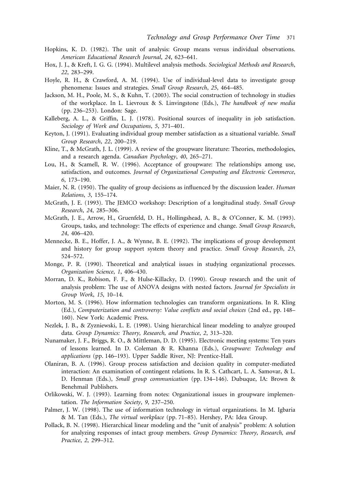- Hopkins, K. D. (1982). The unit of analysis: Group means versus individual observations. *American Educational Research Journal*, *24*, 623–641.
- Hox, J. J., & Kreft, I. G. G. (1994). Multilevel analysis methods. *Sociological Methods and Research*, *22*, 283–299.
- Hoyle, R. H., & Crawford, A. M. (1994). Use of individual-level data to investigate group phenomena: Issues and strategies. *Small Group Research*, *25*, 464–485.
- Jackson, M. H., Poole, M. S., & Kuhn, T. (2003). The social construction of technology in studies of the workplace. In L. Lievroux & S. Linvingstone (Eds.), *The handbook of new media* (pp. 236–253). London: Sage.
- Kalleberg, A. L., & Griffin, L. J. (1978). Positional sources of inequality in job satisfaction. *Sociology of Work and Occupations*, *5*, 371–401.
- Keyton, J. (1991). Evaluating individual group member satisfaction as a situational variable. *Small Group Research*, *22*, 200–219.
- Kline, T., & McGrath, J. L. (1999). A review of the groupware literature: Theories, methodologies, and a research agenda. *Canadian Psychology*, *40*, 265–271.
- Lou, H., & Scamell, R. W. (1996). Acceptance of groupware: The relationships among use, satisfaction, and outcomes. *Journal of Organizational Computing and Electronic Commerce*, *6*, 173–190.
- Maier, N. R. (1950). The quality of group decisions as influenced by the discussion leader. *Human Relations*, *3*, 155–174.
- McGrath, J. E. (1993). The JEMCO workshop: Description of a longitudinal study. *Small Group Research*, *24*, 285–306.
- McGrath, J. E., Arrow, H., Gruenfeld, D. H., Hollingshead, A. B., & O'Conner, K. M. (1993). Groups, tasks, and technology: The effects of experience and change. *Small Group Research*, *24*, 406–420.
- Mennecke, B. E., Hoffer, J. A., & Wynne, B. E. (1992). The implications of group development and history for group support system theory and practice. *Small Group Research*, *23*, 524–572.
- Monge, P. R. (1990). Theoretical and analytical issues in studying organizational processes. *Organization Science*, *1*, 406–430.
- Morran, D. K., Robison, F. F., & Hulse-Killacky, D. (1990). Group research and the unit of analysis problem: The use of ANOVA designs with nested factors. *Journal for Specialists in Group Work*, *15*, 10–14.
- Morton, M. S. (1996). How information technologies can transform organizations. In R. Kling (Ed.), *Computerization and controversy: Value conflicts and social choices* (2nd ed., pp. 148– 160). New York: Academic Press.
- Nezlek, J. B., & Zyzniewski, L. E. (1998). Using hierarchical linear modeling to analyze grouped data. *Group Dynamics: Theory, Research, and Practice*, *2*, 313–320.
- Nunamaker, J. F., Briggs, R. O., & Mittleman, D. D. (1995). Electronic meeting systems: Ten years of lessons learned. In D. Coleman & R. Khanna (Eds.), *Groupware: Technology and applications* (pp. 146–193). Upper Saddle River, NJ: Prentice-Hall.
- Olaniran, B. A. (1996). Group process satisfaction and decision quality in computer-mediated interaction: An examination of contingent relations. In R. S. Cathcart, L. A. Samovar, & L. D. Henman (Eds.), *Small group communication* (pp. 134–146). Dubuque, IA: Brown & Benehmail Publishers.
- Orlikowski, W. J. (1993). Learning from notes: Organizational issues in groupware implementation. *The Information Society*, *9*, 237–250.
- Palmer, J. W. (1998). The use of information technology in virtual organizations. In M. Igbaria & M. Tan (Eds.), *The virtual workplace* (pp. 71–85). Hershey, PA: Idea Group.
- Pollack, B. N. (1998). Hierarchical linear modeling and the "unit of analysis" problem: A solution for analyzing responses of intact group members. *Group Dynamics: Theory, Research, and Practice*, *2*, 299–312.